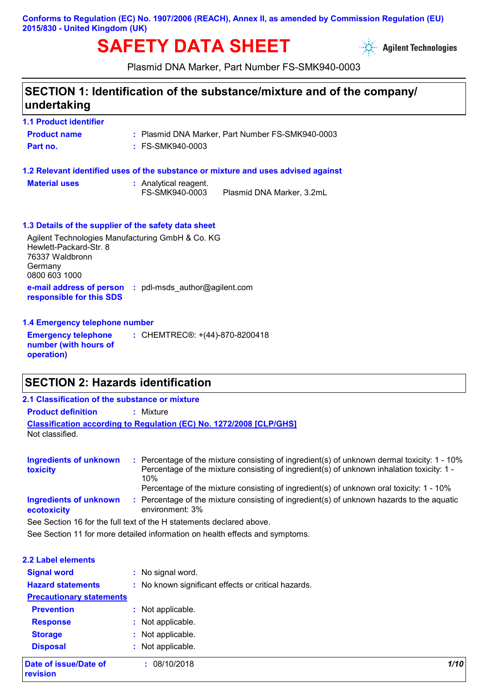### **Conforms to Regulation (EC) No. 1907/2006 (REACH), Annex II, as amended by Commission Regulation (EU) 2015/830 - United Kingdom (UK)**

# **SAFETY DATA SHEET**



Plasmid DNA Marker, Part Number FS-SMK940-0003

### **SECTION 1: Identification of the substance/mixture and of the company/ undertaking**

### **1.1 Product identifier**

| <b>Product name</b> | : Plasmid DNA Marker, Part Number FS-SMK940-0003 |
|---------------------|--------------------------------------------------|
| Part no.            | : FS-SMK940-0003                                 |

#### **1.2 Relevant identified uses of the substance or mixture and uses advised against**

| <b>Material uses</b> | : Analytical reagent. |     |
|----------------------|-----------------------|-----|
|                      | FS-SMK940-0003        | Pla |

smid DNA Marker, 3.2mL

### **1.3 Details of the supplier of the safety data sheet**

**e-mail address of person :** pdl-msds\_author@agilent.com **responsible for this SDS** Agilent Technologies Manufacturing GmbH & Co. KG Hewlett-Packard-Str. 8 76337 Waldbronn Germany 0800 603 1000

#### **1.4 Emergency telephone number**

**Emergency telephone number (with hours of operation) :** CHEMTREC®: +(44)-870-8200418

### **SECTION 2: Hazards identification**

### **Classification according to Regulation (EC) No. 1272/2008 [CLP/GHS] 2.1 Classification of the substance or mixture Product definition :** Mixture Not classified.

| <b>Ingredients of unknown</b><br>toxicity | Percentage of the mixture consisting of ingredient(s) of unknown dermal toxicity: 1 - 10%<br>Percentage of the mixture consisting of ingredient(s) of unknown inhalation toxicity: 1 -<br>1በ%<br>Percentage of the mixture consisting of ingredient(s) of unknown oral toxicity: 1 - 10% |
|-------------------------------------------|------------------------------------------------------------------------------------------------------------------------------------------------------------------------------------------------------------------------------------------------------------------------------------------|
| Ingredients of unknown<br>ecotoxicity     | Percentage of the mixture consisting of ingredient(s) of unknown hazards to the aquatic<br>environment: 3%                                                                                                                                                                               |
|                                           | See Section 16 for the full text of the H statements declared above.                                                                                                                                                                                                                     |

See Section 11 for more detailed information on health effects and symptoms.

| <b>2.2 Label elements</b>         |                                                     |      |
|-----------------------------------|-----------------------------------------------------|------|
| <b>Signal word</b>                | : No signal word.                                   |      |
| <b>Hazard statements</b>          | : No known significant effects or critical hazards. |      |
| <b>Precautionary statements</b>   |                                                     |      |
| <b>Prevention</b>                 | : Not applicable.                                   |      |
| <b>Response</b>                   | : Not applicable.                                   |      |
| <b>Storage</b>                    | : Not applicable.                                   |      |
| <b>Disposal</b>                   | : Not applicable.                                   |      |
| Date of issue/Date of<br>revision | : 08/10/2018                                        | 1/10 |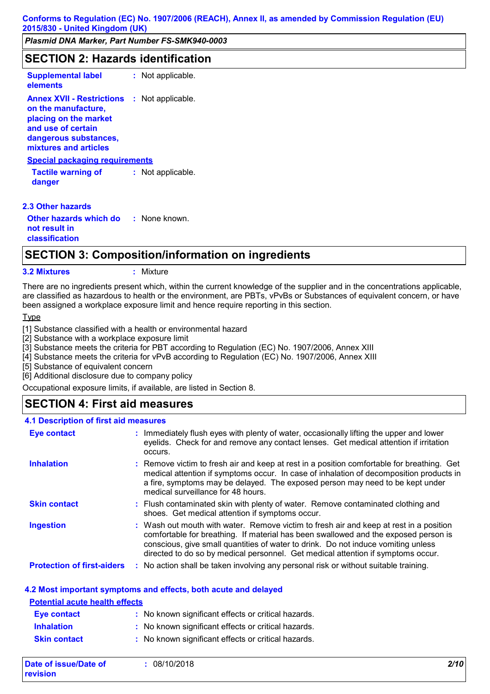### **SECTION 2: Hazards identification**

**Supplemental label :** Not applicable.

**elements Annex XVII - Restrictions :** Not applicable. **on the manufacture, placing on the market and use of certain dangerous substances, mixtures and articles**

#### **Special packaging requirements**

**Tactile warning of danger :** Not applicable.

#### **2.3 Other hazards**

**Other hazards which do : not result in classification** : None known.

### **SECTION 3: Composition/information on ingredients**

**3.2 Mixtures :** Mixture

There are no ingredients present which, within the current knowledge of the supplier and in the concentrations applicable, are classified as hazardous to health or the environment, are PBTs, vPvBs or Substances of equivalent concern, or have been assigned a workplace exposure limit and hence require reporting in this section.

Type

[1] Substance classified with a health or environmental hazard

[2] Substance with a workplace exposure limit

[3] Substance meets the criteria for PBT according to Regulation (EC) No. 1907/2006, Annex XIII

[4] Substance meets the criteria for vPvB according to Regulation (EC) No. 1907/2006, Annex XIII

[5] Substance of equivalent concern

[6] Additional disclosure due to company policy

Occupational exposure limits, if available, are listed in Section 8.

### **SECTION 4: First aid measures**

#### **4.1 Description of first aid measures**

| <b>Eye contact</b>                | : Immediately flush eyes with plenty of water, occasionally lifting the upper and lower<br>eyelids. Check for and remove any contact lenses. Get medical attention if irritation<br>occurs.                                                                                                                                                            |
|-----------------------------------|--------------------------------------------------------------------------------------------------------------------------------------------------------------------------------------------------------------------------------------------------------------------------------------------------------------------------------------------------------|
| <b>Inhalation</b>                 | : Remove victim to fresh air and keep at rest in a position comfortable for breathing. Get<br>medical attention if symptoms occur. In case of inhalation of decomposition products in<br>a fire, symptoms may be delayed. The exposed person may need to be kept under<br>medical surveillance for 48 hours.                                           |
| <b>Skin contact</b>               | : Flush contaminated skin with plenty of water. Remove contaminated clothing and<br>shoes. Get medical attention if symptoms occur.                                                                                                                                                                                                                    |
| <b>Ingestion</b>                  | : Wash out mouth with water. Remove victim to fresh air and keep at rest in a position<br>comfortable for breathing. If material has been swallowed and the exposed person is<br>conscious, give small quantities of water to drink. Do not induce vomiting unless<br>directed to do so by medical personnel. Get medical attention if symptoms occur. |
| <b>Protection of first-aiders</b> | : No action shall be taken involving any personal risk or without suitable training.                                                                                                                                                                                                                                                                   |

#### **4.2 Most important symptoms and effects, both acute and delayed**

| <b>Potential acute health effects</b> |                                                     |
|---------------------------------------|-----------------------------------------------------|
| <b>Eye contact</b>                    | : No known significant effects or critical hazards. |
| <b>Inhalation</b>                     | : No known significant effects or critical hazards. |
| <b>Skin contact</b>                   | : No known significant effects or critical hazards. |

| Date of issue/Date of | 08/10/2018 | 2/10 |
|-----------------------|------------|------|
| revision              |            |      |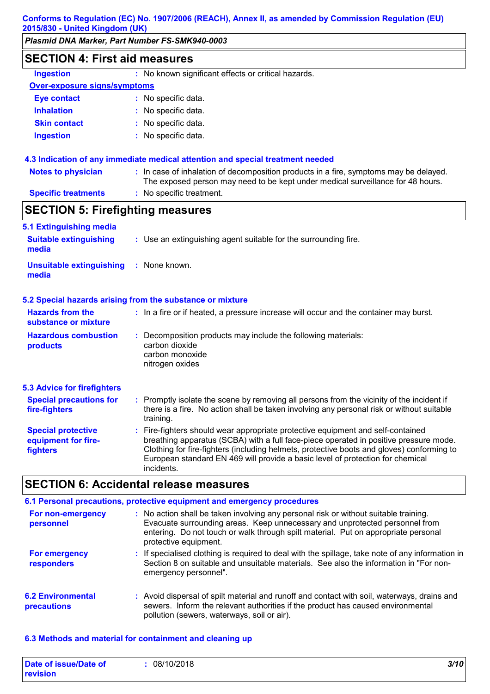**Conforms to Regulation (EC) No. 1907/2006 (REACH), Annex II, as amended by Commission Regulation (EU)**

| 2015/830 - United Kingdom (UK)                               |                                                                                                                                                                                                                                                                                                                                                                           |
|--------------------------------------------------------------|---------------------------------------------------------------------------------------------------------------------------------------------------------------------------------------------------------------------------------------------------------------------------------------------------------------------------------------------------------------------------|
| Plasmid DNA Marker, Part Number FS-SMK940-0003               |                                                                                                                                                                                                                                                                                                                                                                           |
| <b>SECTION 4: First aid measures</b>                         |                                                                                                                                                                                                                                                                                                                                                                           |
| <b>Ingestion</b>                                             | : No known significant effects or critical hazards.                                                                                                                                                                                                                                                                                                                       |
| <b>Over-exposure signs/symptoms</b>                          |                                                                                                                                                                                                                                                                                                                                                                           |
| <b>Eye contact</b>                                           | : No specific data.                                                                                                                                                                                                                                                                                                                                                       |
| <b>Inhalation</b>                                            | : No specific data.                                                                                                                                                                                                                                                                                                                                                       |
| <b>Skin contact</b>                                          | : No specific data.                                                                                                                                                                                                                                                                                                                                                       |
| <b>Ingestion</b>                                             | : No specific data.                                                                                                                                                                                                                                                                                                                                                       |
|                                                              | 4.3 Indication of any immediate medical attention and special treatment needed                                                                                                                                                                                                                                                                                            |
| <b>Notes to physician</b>                                    | : In case of inhalation of decomposition products in a fire, symptoms may be delayed.<br>The exposed person may need to be kept under medical surveillance for 48 hours.                                                                                                                                                                                                  |
| <b>Specific treatments</b>                                   | : No specific treatment.                                                                                                                                                                                                                                                                                                                                                  |
| <b>SECTION 5: Firefighting measures</b>                      |                                                                                                                                                                                                                                                                                                                                                                           |
| 5.1 Extinguishing media                                      |                                                                                                                                                                                                                                                                                                                                                                           |
| <b>Suitable extinguishing</b><br>media                       | : Use an extinguishing agent suitable for the surrounding fire.                                                                                                                                                                                                                                                                                                           |
| <b>Unsuitable extinguishing</b><br>media                     | : None known.                                                                                                                                                                                                                                                                                                                                                             |
|                                                              | 5.2 Special hazards arising from the substance or mixture                                                                                                                                                                                                                                                                                                                 |
| <b>Hazards from the</b><br>substance or mixture              | : In a fire or if heated, a pressure increase will occur and the container may burst.                                                                                                                                                                                                                                                                                     |
| <b>Hazardous combustion</b><br>products                      | : Decomposition products may include the following materials:<br>carbon dioxide<br>carbon monoxide<br>nitrogen oxides                                                                                                                                                                                                                                                     |
| <b>5.3 Advice for firefighters</b>                           |                                                                                                                                                                                                                                                                                                                                                                           |
| <b>Special precautions for</b><br>fire-fighters              | : Promptly isolate the scene by removing all persons from the vicinity of the incident if<br>there is a fire. No action shall be taken involving any personal risk or without suitable<br>training.                                                                                                                                                                       |
| <b>Special protective</b><br>equipment for fire-<br>fighters | Fire-fighters should wear appropriate protective equipment and self-contained<br>÷.<br>breathing apparatus (SCBA) with a full face-piece operated in positive pressure mode.<br>Clothing for fire-fighters (including helmets, protective boots and gloves) conforming to<br>European standard EN 469 will provide a basic level of protection for chemical<br>incidents. |

|                                         | 6.1 Personal precautions, protective equipment and emergency procedures                                                                                                                                                                                                            |
|-----------------------------------------|------------------------------------------------------------------------------------------------------------------------------------------------------------------------------------------------------------------------------------------------------------------------------------|
| For non-emergency<br>personnel          | : No action shall be taken involving any personal risk or without suitable training.<br>Evacuate surrounding areas. Keep unnecessary and unprotected personnel from<br>entering. Do not touch or walk through spilt material. Put on appropriate personal<br>protective equipment. |
| For emergency<br>responders             | : If specialised clothing is required to deal with the spillage, take note of any information in<br>Section 8 on suitable and unsuitable materials. See also the information in "For non-<br>emergency personnel".                                                                 |
| <b>6.2 Environmental</b><br>precautions | : Avoid dispersal of spilt material and runoff and contact with soil, waterways, drains and<br>sewers. Inform the relevant authorities if the product has caused environmental<br>pollution (sewers, waterways, soil or air).                                                      |

### **6.3 Methods and material for containment and cleaning up**

| Date of issue/Date of | 08/10/2018 | 3/10 |
|-----------------------|------------|------|
| revision              |            |      |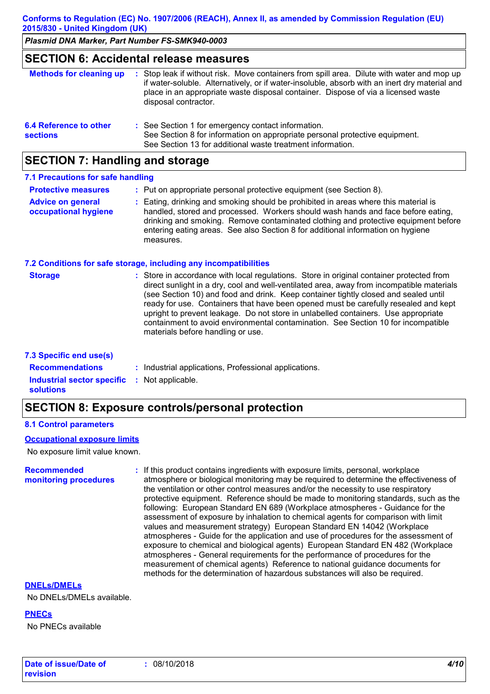**Conforms to Regulation (EC) No. 1907/2006 (REACH), Annex II, as amended by Commission Regulation (EU) 2015/830 - United Kingdom (UK)**

*Plasmid DNA Marker, Part Number FS-SMK940-0003*

### **SECTION 6: Accidental release measures**

| <b>Methods for cleaning up</b>            | : Stop leak if without risk. Move containers from spill area. Dilute with water and mop up<br>if water-soluble. Alternatively, or if water-insoluble, absorb with an inert dry material and<br>place in an appropriate waste disposal container. Dispose of via a licensed waste<br>disposal contractor. |
|-------------------------------------------|----------------------------------------------------------------------------------------------------------------------------------------------------------------------------------------------------------------------------------------------------------------------------------------------------------|
| 6.4 Reference to other<br><b>sections</b> | : See Section 1 for emergency contact information.<br>See Section 8 for information on appropriate personal protective equipment.<br>See Section 13 for additional waste treatment information.                                                                                                          |

### **SECTION 7: Handling and storage**

#### **7.1 Precautions for safe handling**

| <b>Protective measures</b>                       | : Put on appropriate personal protective equipment (see Section 8).                                                                                                                                                                                                                                                                                           |
|--------------------------------------------------|---------------------------------------------------------------------------------------------------------------------------------------------------------------------------------------------------------------------------------------------------------------------------------------------------------------------------------------------------------------|
| <b>Advice on general</b><br>occupational hygiene | : Eating, drinking and smoking should be prohibited in areas where this material is<br>handled, stored and processed. Workers should wash hands and face before eating,<br>drinking and smoking. Remove contaminated clothing and protective equipment before<br>entering eating areas. See also Section 8 for additional information on hygiene<br>measures. |

#### **7.2 Conditions for safe storage, including any incompatibilities**

| : Store in accordance with local regulations. Store in original container protected from<br><b>Storage</b><br>direct sunlight in a dry, cool and well-ventilated area, away from incompatible materials<br>(see Section 10) and food and drink. Keep container tightly closed and sealed until<br>ready for use. Containers that have been opened must be carefully resealed and kept<br>upright to prevent leakage. Do not store in unlabelled containers. Use appropriate<br>containment to avoid environmental contamination. See Section 10 for incompatible<br>materials before handling or use. |  |
|-------------------------------------------------------------------------------------------------------------------------------------------------------------------------------------------------------------------------------------------------------------------------------------------------------------------------------------------------------------------------------------------------------------------------------------------------------------------------------------------------------------------------------------------------------------------------------------------------------|--|
|-------------------------------------------------------------------------------------------------------------------------------------------------------------------------------------------------------------------------------------------------------------------------------------------------------------------------------------------------------------------------------------------------------------------------------------------------------------------------------------------------------------------------------------------------------------------------------------------------------|--|

#### **7.3 Specific end use(s)**

| <b>Recommendations</b>                                                  | : Industrial applications, Professional applications. |
|-------------------------------------------------------------------------|-------------------------------------------------------|
| <b>Industrial sector specific : Not applicable.</b><br><b>solutions</b> |                                                       |

### **SECTION 8: Exposure controls/personal protection**

#### **8.1 Control parameters**

#### **Occupational exposure limits**

No exposure limit value known.

#### **Recommended monitoring procedures :** If this product contains ingredients with exposure limits, personal, workplace atmosphere or biological monitoring may be required to determine the effectiveness of the ventilation or other control measures and/or the necessity to use respiratory protective equipment. Reference should be made to monitoring standards, such as the following: European Standard EN 689 (Workplace atmospheres - Guidance for the assessment of exposure by inhalation to chemical agents for comparison with limit values and measurement strategy) European Standard EN 14042 (Workplace atmospheres - Guide for the application and use of procedures for the assessment of exposure to chemical and biological agents) European Standard EN 482 (Workplace atmospheres - General requirements for the performance of procedures for the measurement of chemical agents) Reference to national guidance documents for methods for the determination of hazardous substances will also be required.

#### **DNELs/DMELs**

No DNELs/DMELs available.

**PNECs**

No PNECs available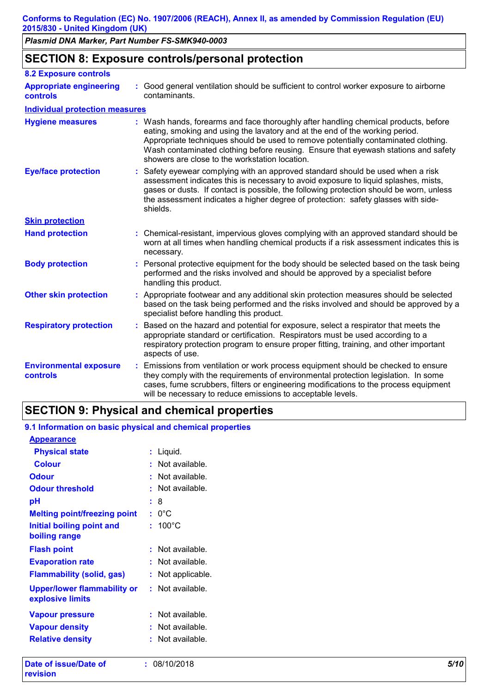### **SECTION 8: Exposure controls/personal protection**

| <b>8.2 Exposure controls</b>               |    |                                                                                                                                                                                                                                                                                                                                                                                                   |
|--------------------------------------------|----|---------------------------------------------------------------------------------------------------------------------------------------------------------------------------------------------------------------------------------------------------------------------------------------------------------------------------------------------------------------------------------------------------|
| <b>Appropriate engineering</b><br>controls |    | : Good general ventilation should be sufficient to control worker exposure to airborne<br>contaminants.                                                                                                                                                                                                                                                                                           |
| <b>Individual protection measures</b>      |    |                                                                                                                                                                                                                                                                                                                                                                                                   |
| <b>Hygiene measures</b>                    |    | : Wash hands, forearms and face thoroughly after handling chemical products, before<br>eating, smoking and using the lavatory and at the end of the working period.<br>Appropriate techniques should be used to remove potentially contaminated clothing.<br>Wash contaminated clothing before reusing. Ensure that eyewash stations and safety<br>showers are close to the workstation location. |
| <b>Eye/face protection</b>                 |    | Safety eyewear complying with an approved standard should be used when a risk<br>assessment indicates this is necessary to avoid exposure to liquid splashes, mists,<br>gases or dusts. If contact is possible, the following protection should be worn, unless<br>the assessment indicates a higher degree of protection: safety glasses with side-<br>shields.                                  |
| <b>Skin protection</b>                     |    |                                                                                                                                                                                                                                                                                                                                                                                                   |
| <b>Hand protection</b>                     |    | : Chemical-resistant, impervious gloves complying with an approved standard should be<br>worn at all times when handling chemical products if a risk assessment indicates this is<br>necessary.                                                                                                                                                                                                   |
| <b>Body protection</b>                     |    | : Personal protective equipment for the body should be selected based on the task being<br>performed and the risks involved and should be approved by a specialist before<br>handling this product.                                                                                                                                                                                               |
| <b>Other skin protection</b>               |    | : Appropriate footwear and any additional skin protection measures should be selected<br>based on the task being performed and the risks involved and should be approved by a<br>specialist before handling this product.                                                                                                                                                                         |
| <b>Respiratory protection</b>              |    | : Based on the hazard and potential for exposure, select a respirator that meets the<br>appropriate standard or certification. Respirators must be used according to a<br>respiratory protection program to ensure proper fitting, training, and other important<br>aspects of use.                                                                                                               |
| <b>Environmental exposure</b><br>controls  | ÷. | Emissions from ventilation or work process equipment should be checked to ensure<br>they comply with the requirements of environmental protection legislation. In some<br>cases, fume scrubbers, filters or engineering modifications to the process equipment<br>will be necessary to reduce emissions to acceptable levels.                                                                     |

### **SECTION 9: Physical and chemical properties**

### **9.1 Information on basic physical and chemical properties**

| <b>Appearance</b>                                                       |                       |
|-------------------------------------------------------------------------|-----------------------|
| <b>Physical state</b>                                                   | Liquid.<br>t.         |
| <b>Colour</b>                                                           | Not available.        |
| <b>Odour</b>                                                            | Not available.        |
| <b>Odour threshold</b>                                                  | Not available.<br>۰   |
| рH                                                                      | 8                     |
| <b>Melting point/freezing point</b>                                     | $: 0^{\circ}$ C       |
| <b>Initial boiling point and</b><br>boiling range                       | $: 100^{\circ}$ C     |
| <b>Flash point</b>                                                      | Not available.        |
| <b>Evaporation rate</b>                                                 | Not available.<br>ŧ.  |
| <b>Flammability (solid, gas)</b>                                        | Not applicable.<br>t. |
| <b>Upper/lower flammability or : Not available.</b><br>explosive limits |                       |
| <b>Vapour pressure</b>                                                  | Not available.        |
| <b>Vapour density</b>                                                   | Not available.        |
| <b>Relative density</b>                                                 | Not available.        |
| Data af Iaana (Data af                                                  | . 0014010040          |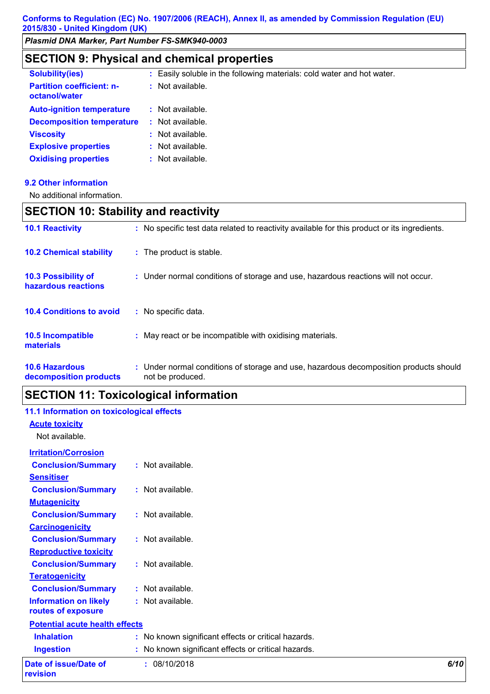### **SECTION 9: Physical and chemical properties**

| <b>Solubility(ies)</b>                            | Easily soluble in the following materials: cold water and hot water. |
|---------------------------------------------------|----------------------------------------------------------------------|
| <b>Partition coefficient: n-</b><br>octanol/water | Not available.<br>÷                                                  |
| <b>Auto-ignition temperature</b>                  | Not available.                                                       |
| <b>Decomposition temperature</b>                  | Not available.                                                       |
| <b>Viscosity</b>                                  | Not available.                                                       |
| <b>Explosive properties</b>                       | : Not available.                                                     |
| <b>Oxidising properties</b>                       | Not available.                                                       |

### **9.2 Other information**

No additional information.

## **SECTION 10: Stability and reactivity**

| <b>10.1 Reactivity</b>                          | : No specific test data related to reactivity available for this product or its ingredients.              |
|-------------------------------------------------|-----------------------------------------------------------------------------------------------------------|
| <b>10.2 Chemical stability</b>                  | : The product is stable.                                                                                  |
| 10.3 Possibility of<br>hazardous reactions      | : Under normal conditions of storage and use, hazardous reactions will not occur.                         |
| <b>10.4 Conditions to avoid</b>                 | : No specific data.                                                                                       |
| <b>10.5 Incompatible</b><br>materials           | : May react or be incompatible with oxidising materials.                                                  |
| <b>10.6 Hazardous</b><br>decomposition products | : Under normal conditions of storage and use, hazardous decomposition products should<br>not be produced. |

## **SECTION 11: Toxicological information**

| 11.1 Information on toxicological effects |                                                     |      |
|-------------------------------------------|-----------------------------------------------------|------|
| <b>Acute toxicity</b>                     |                                                     |      |
| Not available.                            |                                                     |      |
| <b>Irritation/Corrosion</b>               |                                                     |      |
| <b>Conclusion/Summary</b>                 | : Not available.                                    |      |
| <b>Sensitiser</b>                         |                                                     |      |
| <b>Conclusion/Summary</b>                 | : Not available.                                    |      |
| <b>Mutagenicity</b>                       |                                                     |      |
| <b>Conclusion/Summary</b>                 | : Not available.                                    |      |
| <b>Carcinogenicity</b>                    |                                                     |      |
| <b>Conclusion/Summary</b>                 | : Not available.                                    |      |
| <b>Reproductive toxicity</b>              |                                                     |      |
| <b>Conclusion/Summary</b>                 | : Not available.                                    |      |
| <b>Teratogenicity</b>                     |                                                     |      |
| <b>Conclusion/Summary</b>                 | : Not available.                                    |      |
| <b>Information on likely</b>              | : Not available.                                    |      |
| routes of exposure                        |                                                     |      |
| <b>Potential acute health effects</b>     |                                                     |      |
| <b>Inhalation</b>                         | : No known significant effects or critical hazards. |      |
| <b>Ingestion</b>                          | : No known significant effects or critical hazards. |      |
| Date of issue/Date of                     | : 08/10/2018                                        | 6/10 |
| revision                                  |                                                     |      |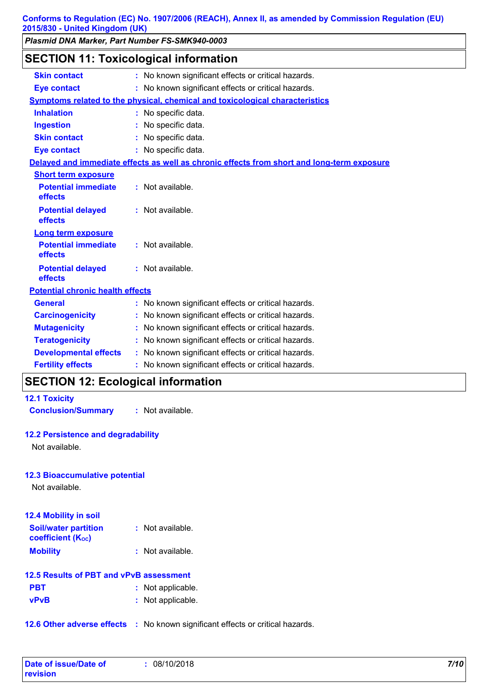### **SECTION 11: Toxicological information**

| <b>Skin contact</b>                          | : No known significant effects or critical hazards.                                        |  |
|----------------------------------------------|--------------------------------------------------------------------------------------------|--|
| <b>Eye contact</b>                           | : No known significant effects or critical hazards.                                        |  |
|                                              | Symptoms related to the physical, chemical and toxicological characteristics               |  |
| <b>Inhalation</b>                            | : No specific data.                                                                        |  |
| <b>Ingestion</b>                             | : No specific data.                                                                        |  |
| <b>Skin contact</b>                          | : No specific data.                                                                        |  |
| <b>Eye contact</b>                           | : No specific data.                                                                        |  |
|                                              | Delayed and immediate effects as well as chronic effects from short and long-term exposure |  |
| <b>Short term exposure</b>                   |                                                                                            |  |
| <b>Potential immediate</b><br><b>effects</b> | $:$ Not available.                                                                         |  |
| <b>Potential delayed</b><br>effects          | : Not available.                                                                           |  |
| <b>Long term exposure</b>                    |                                                                                            |  |
| <b>Potential immediate</b><br>effects        | : Not available.                                                                           |  |
| <b>Potential delayed</b><br>effects          | : Not available.                                                                           |  |
| <b>Potential chronic health effects</b>      |                                                                                            |  |
| <b>General</b>                               | : No known significant effects or critical hazards.                                        |  |
| <b>Carcinogenicity</b>                       | : No known significant effects or critical hazards.                                        |  |
| <b>Mutagenicity</b>                          | : No known significant effects or critical hazards.                                        |  |
| <b>Teratogenicity</b>                        | : No known significant effects or critical hazards.                                        |  |
| <b>Developmental effects</b>                 | : No known significant effects or critical hazards.                                        |  |
| <b>Fertility effects</b>                     | : No known significant effects or critical hazards.                                        |  |

## **SECTION 12: Ecological information**

| <b>12.1 Toxicity</b> |  |
|----------------------|--|
|----------------------|--|

**Conclusion/Summary :** Not available.

### **12.2 Persistence and degradability**

Not available.

#### **12.3 Bioaccumulative potential**

Not available.

| <b>12.4 Mobility in soil</b>                            |                    |
|---------------------------------------------------------|--------------------|
| <b>Soil/water partition</b><br><b>coefficient (Koc)</b> | $:$ Not available. |
| <b>Mobility</b>                                         | $:$ Not available. |

### **12.5 Results of PBT and vPvB assessment**

| <b>PBT</b>  | : Not applicable. |
|-------------|-------------------|
| <b>vPvB</b> | : Not applicable. |

**12.6 Other adverse effects** : No known significant effects or critical hazards.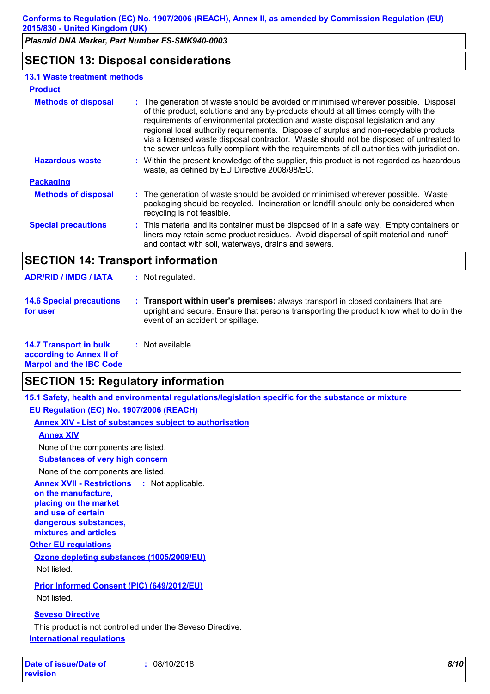### **SECTION 13: Disposal considerations**

### **13.1 Waste treatment methods**

| <b>Product</b>             |                                                                                                                                                                                                                                                                                                                                                                                                                                                                                                                                                  |
|----------------------------|--------------------------------------------------------------------------------------------------------------------------------------------------------------------------------------------------------------------------------------------------------------------------------------------------------------------------------------------------------------------------------------------------------------------------------------------------------------------------------------------------------------------------------------------------|
| <b>Methods of disposal</b> | : The generation of waste should be avoided or minimised wherever possible. Disposal<br>of this product, solutions and any by-products should at all times comply with the<br>requirements of environmental protection and waste disposal legislation and any<br>regional local authority requirements. Dispose of surplus and non-recyclable products<br>via a licensed waste disposal contractor. Waste should not be disposed of untreated to<br>the sewer unless fully compliant with the requirements of all authorities with jurisdiction. |
| <b>Hazardous waste</b>     | : Within the present knowledge of the supplier, this product is not regarded as hazardous<br>waste, as defined by EU Directive 2008/98/EC.                                                                                                                                                                                                                                                                                                                                                                                                       |
| <b>Packaging</b>           |                                                                                                                                                                                                                                                                                                                                                                                                                                                                                                                                                  |
| <b>Methods of disposal</b> | : The generation of waste should be avoided or minimised wherever possible. Waste<br>packaging should be recycled. Incineration or landfill should only be considered when<br>recycling is not feasible.                                                                                                                                                                                                                                                                                                                                         |
| <b>Special precautions</b> | : This material and its container must be disposed of in a safe way. Empty containers or<br>liners may retain some product residues. Avoid dispersal of spilt material and runoff<br>and contact with soil, waterways, drains and sewers.                                                                                                                                                                                                                                                                                                        |

### **SECTION 14: Transport information**

**ADR/RID / IMDG / IATA :** Not regulated.

| <b>14.6 Special precautions</b> | <b>Transport within user's premises:</b> always transport in closed containers that are                                      |
|---------------------------------|------------------------------------------------------------------------------------------------------------------------------|
| for user                        | upright and secure. Ensure that persons transporting the product know what to do in the<br>event of an accident or spillage. |

#### **14.7 Transport in bulk according to Annex II of Marpol and the IBC Code :** Not available.

## **SECTION 15: Regulatory information**

**15.1 Safety, health and environmental regulations/legislation specific for the substance or mixture**

**EU Regulation (EC) No. 1907/2006 (REACH)**

**Annex XIV - List of substances subject to authorisation**

### **Annex XIV**

None of the components are listed.

**Substances of very high concern**

None of the components are listed.

**Annex XVII - Restrictions : Not applicable.** 

**on the manufacture, placing on the market and use of certain dangerous substances, mixtures and articles**

#### **Other EU regulations**

**Ozone depleting substances (1005/2009/EU)** Not listed.

### **Prior Informed Consent (PIC) (649/2012/EU)**

Not listed.

### **Seveso Directive**

This product is not controlled under the Seveso Directive. **International regulations**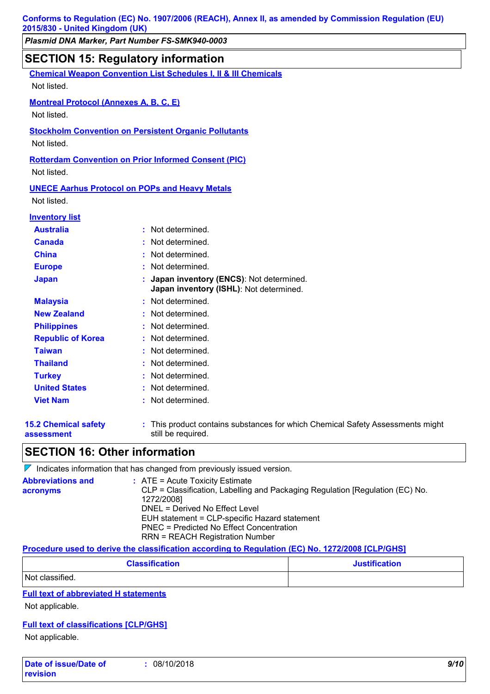# **SECTION 15: Regulatory information**

**15.2 Chemical safety assessment** This product contains substances for which Chemical Safety Assessments might **:** still be required. **Chemical Weapon Convention List Schedules I, II & III Chemicals Montreal Protocol (Annexes A, B, C, E)** Not listed. **Stockholm Convention on Persistent Organic Pollutants** Not listed. **Rotterdam Convention on Prior Informed Consent (PIC)** Not listed. Not listed. **UNECE Aarhus Protocol on POPs and Heavy Metals** Not listed. **Europe :** Not determined. **Inventory list Australia :** Not determined. **Canada :** Not determined. **China :** Not determined. **Japan : Japan inventory (ENCS)**: Not determined. **Japan inventory (ISHL)**: Not determined. **Republic of Korea :** Not determined. **Malaysia :** Not determined. **New Zealand :** Not determined. **Philippines :** Not determined. **Taiwan :** Not determined. **United States :** Not determined. **Turkey :** Not determined. **Thailand :** Not determined. **Viet Nam :** Not determined.

### **SECTION 16: Other information**

 $\nabla$  Indicates information that has changed from previously issued version.

| <b>Abbreviations and</b><br>acronyms | $\therefore$ ATE = Acute Toxicity Estimate<br>CLP = Classification, Labelling and Packaging Regulation [Regulation (EC) No. |
|--------------------------------------|-----------------------------------------------------------------------------------------------------------------------------|
|                                      | 1272/2008]                                                                                                                  |
|                                      | DNEL = Derived No Effect Level                                                                                              |
|                                      | EUH statement = CLP-specific Hazard statement                                                                               |
|                                      | <b>PNEC = Predicted No Effect Concentration</b>                                                                             |
|                                      | <b>RRN = REACH Registration Number</b>                                                                                      |
|                                      | R I II II II IM II I IR II AR II MANNI ABAMAAA FALBMAHAI                                                                    |

#### **Procedure used to derive the classification according to Regulation (EC) No. 1272/2008 [CLP/GHS]**

| <b>Classification</b> | <b>Justification</b> |
|-----------------------|----------------------|
| Not classified.       |                      |

#### **Full text of abbreviated H statements**

Not applicable.

### **Full text of classifications [CLP/GHS]**

Not applicable.